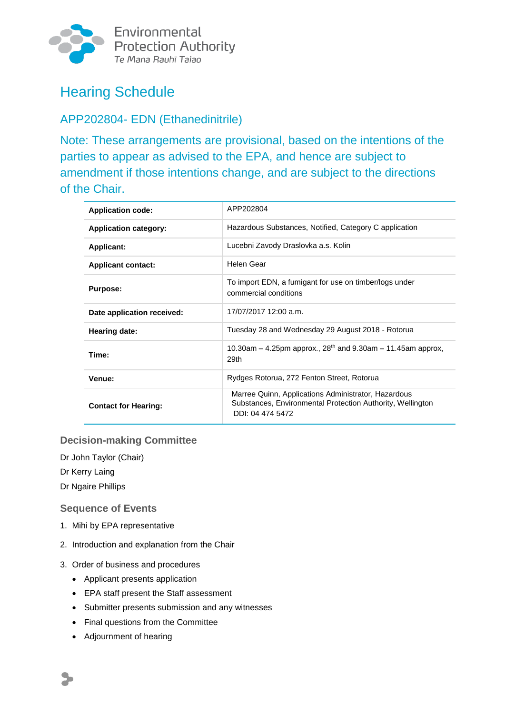

Environmental **Protection Authority** Te Mana Rauhī Taiao

# Hearing Schedule

## APP202804- EDN (Ethanedinitrile)

Note: These arrangements are provisional, based on the intentions of the parties to appear as advised to the EPA, and hence are subject to amendment if those intentions change, and are subject to the directions of the Chair.

| <b>Application code:</b>     | APP202804                                                                                                                             |  |  |
|------------------------------|---------------------------------------------------------------------------------------------------------------------------------------|--|--|
| <b>Application category:</b> | Hazardous Substances, Notified, Category C application                                                                                |  |  |
| <b>Applicant:</b>            | Lucebni Zavody Draslovka a.s. Kolin                                                                                                   |  |  |
| <b>Applicant contact:</b>    | Helen Gear                                                                                                                            |  |  |
| <b>Purpose:</b>              | To import EDN, a fumigant for use on timber/logs under<br>commercial conditions                                                       |  |  |
| Date application received:   | 17/07/2017 12:00 a.m.                                                                                                                 |  |  |
| Hearing date:                | Tuesday 28 and Wednesday 29 August 2018 - Rotorua                                                                                     |  |  |
| Time:                        | 10.30am – 4.25pm approx., $28^{th}$ and 9.30am – 11.45am approx,<br>29th                                                              |  |  |
| Venue:                       | Rydges Rotorua, 272 Fenton Street, Rotorua                                                                                            |  |  |
| <b>Contact for Hearing:</b>  | Marree Quinn, Applications Administrator, Hazardous<br>Substances, Environmental Protection Authority, Wellington<br>DDI: 04 474 5472 |  |  |

#### **Decision-making Committee**

Dr John Taylor (Chair)

Dr Kerry Laing

Dr Ngaire Phillips

#### **Sequence of Events**

- 1. Mihi by EPA representative
- 2. Introduction and explanation from the Chair
- 3. Order of business and procedures
	- Applicant presents application
	- EPA staff present the Staff assessment
	- Submitter presents submission and any witnesses
	- Final questions from the Committee
	- Adjournment of hearing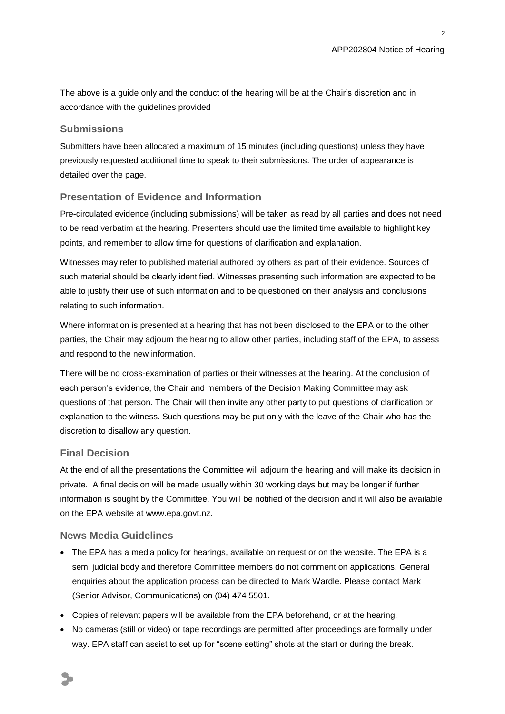The above is a guide only and the conduct of the hearing will be at the Chair's discretion and in accordance with the guidelines provided

#### **Submissions**

Submitters have been allocated a maximum of 15 minutes (including questions) unless they have previously requested additional time to speak to their submissions. The order of appearance is detailed over the page.

#### **Presentation of Evidence and Information**

Pre-circulated evidence (including submissions) will be taken as read by all parties and does not need to be read verbatim at the hearing. Presenters should use the limited time available to highlight key points, and remember to allow time for questions of clarification and explanation.

Witnesses may refer to published material authored by others as part of their evidence. Sources of such material should be clearly identified. Witnesses presenting such information are expected to be able to justify their use of such information and to be questioned on their analysis and conclusions relating to such information.

Where information is presented at a hearing that has not been disclosed to the EPA or to the other parties, the Chair may adjourn the hearing to allow other parties, including staff of the EPA, to assess and respond to the new information.

There will be no cross-examination of parties or their witnesses at the hearing. At the conclusion of each person's evidence, the Chair and members of the Decision Making Committee may ask questions of that person. The Chair will then invite any other party to put questions of clarification or explanation to the witness. Such questions may be put only with the leave of the Chair who has the discretion to disallow any question.

#### **Final Decision**

At the end of all the presentations the Committee will adjourn the hearing and will make its decision in private. A final decision will be made usually within 30 working days but may be longer if further information is sought by the Committee. You will be notified of the decision and it will also be available on the EPA website at www.epa.govt.nz.

#### **News Media Guidelines**

- The EPA has a media policy for hearings, available on request or on the website. The EPA is a semi judicial body and therefore Committee members do not comment on applications. General enquiries about the application process can be directed to Mark Wardle. Please contact Mark (Senior Advisor, Communications) on (04) 474 5501.
- Copies of relevant papers will be available from the EPA beforehand, or at the hearing.
- No cameras (still or video) or tape recordings are permitted after proceedings are formally under way. EPA staff can assist to set up for "scene setting" shots at the start or during the break.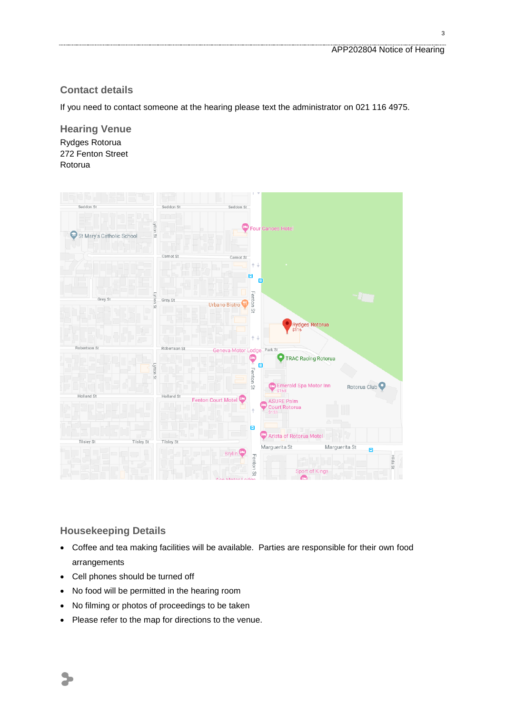#### **Contact details**

If you need to contact someone at the hearing please text the administrator on 021 116 4975.

**Hearing Venue** Rydges Rotorua 272 Fenton Street Rotorua



#### **Housekeeping Details**

- Coffee and tea making facilities will be available. Parties are responsible for their own food arrangements
- Cell phones should be turned off
- No food will be permitted in the hearing room
- No filming or photos of proceedings to be taken
- Please refer to the map for directions to the venue.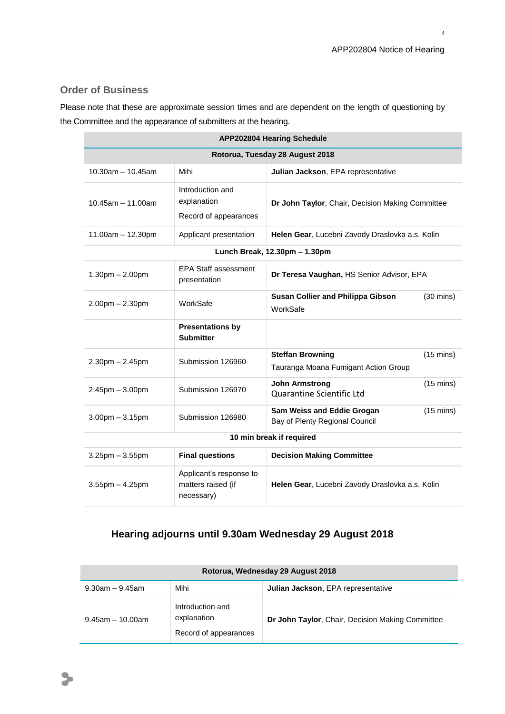#### **Order of Business**

Please note that these are approximate session times and are dependent on the length of questioning by the Committee and the appearance of submitters at the hearing.

| <b>APP202804 Hearing Schedule</b> |                                                             |                                                                 |                     |  |  |  |
|-----------------------------------|-------------------------------------------------------------|-----------------------------------------------------------------|---------------------|--|--|--|
| Rotorua, Tuesday 28 August 2018   |                                                             |                                                                 |                     |  |  |  |
| $10.30$ am $- 10.45$ am           | Mihi                                                        | Julian Jackson, EPA representative                              |                     |  |  |  |
| $10.45$ am $- 11.00$ am           | Introduction and<br>explanation<br>Record of appearances    | Dr John Taylor, Chair, Decision Making Committee                |                     |  |  |  |
| $11.00am - 12.30pm$               | Applicant presentation                                      | Helen Gear, Lucebni Zavody Draslovka a.s. Kolin                 |                     |  |  |  |
| Lunch Break, 12.30pm - 1.30pm     |                                                             |                                                                 |                     |  |  |  |
| $1.30pm - 2.00pm$                 | <b>EPA Staff assessment</b><br>presentation                 | Dr Teresa Vaughan, HS Senior Advisor, EPA                       |                     |  |  |  |
| $2.00$ pm $- 2.30$ pm             | WorkSafe                                                    | <b>Susan Collier and Philippa Gibson</b><br>WorkSafe            | $(30 \text{ mins})$ |  |  |  |
|                                   | <b>Presentations by</b><br><b>Submitter</b>                 |                                                                 |                     |  |  |  |
| $2.30pm - 2.45pm$                 | Submission 126960                                           | <b>Steffan Browning</b><br>Tauranga Moana Fumigant Action Group | $(15 \text{ mins})$ |  |  |  |
| $2.45$ pm $-3.00$ pm              | Submission 126970                                           | <b>John Armstrong</b><br>Quarantine Scientific Ltd              | $(15 \text{ mins})$ |  |  |  |
| $3.00$ pm $-3.15$ pm              | Submission 126980                                           | Sam Weiss and Eddie Grogan<br>Bay of Plenty Regional Council    | $(15 \text{ mins})$ |  |  |  |
| 10 min break if required          |                                                             |                                                                 |                     |  |  |  |
| $3.25$ pm $-3.55$ pm              | <b>Final questions</b>                                      | <b>Decision Making Committee</b>                                |                     |  |  |  |
| $3.55$ pm $- 4.25$ pm             | Applicant's response to<br>matters raised (if<br>necessary) | Helen Gear, Lucebni Zavody Draslovka a.s. Kolin                 |                     |  |  |  |

### **Hearing adjourns until 9.30am Wednesday 29 August 2018**

| Rotorua, Wednesday 29 August 2018 |                                                          |                                                  |  |  |
|-----------------------------------|----------------------------------------------------------|--------------------------------------------------|--|--|
| $9.30$ am – $9.45$ am             | Mihi                                                     | Julian Jackson, EPA representative               |  |  |
| $9.45$ am $-10.00$ am             | Introduction and<br>explanation<br>Record of appearances | Dr John Taylor, Chair, Decision Making Committee |  |  |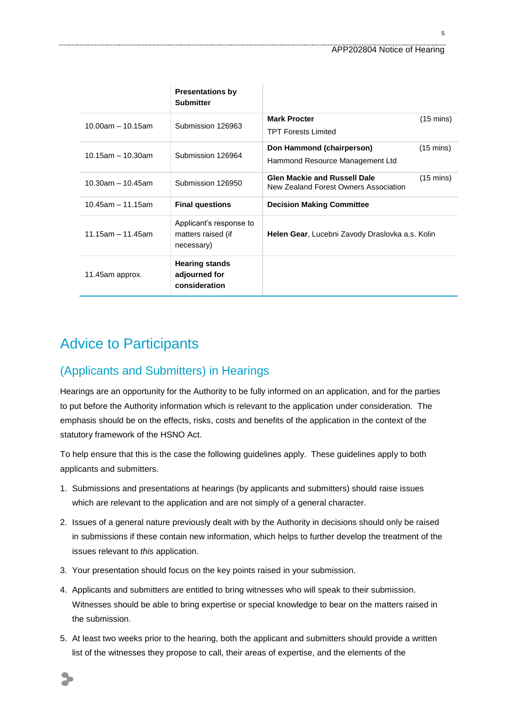|                         | <b>Presentations by</b><br><b>Submitter</b>                 |                                                                                                     |  |
|-------------------------|-------------------------------------------------------------|-----------------------------------------------------------------------------------------------------|--|
| $10.00$ am $- 10.15$ am | Submission 126963                                           | <b>Mark Procter</b><br>$(15 \text{ mins})$<br><b>TPT Forests Limited</b>                            |  |
| $10.15$ am - 10.30am    | Submission 126964                                           | Don Hammond (chairperson)<br>$(15 \text{ mins})$<br>Hammond Resource Management Ltd                 |  |
| $10.30$ am - 10.45am    | Submission 126950                                           | <b>Glen Mackie and Russell Dale</b><br>$(15 \text{ mins})$<br>New Zealand Forest Owners Association |  |
| $10.45$ am - 11.15am    | <b>Final questions</b>                                      | <b>Decision Making Committee</b>                                                                    |  |
| $11.15$ am - 11.45am    | Applicant's response to<br>matters raised (if<br>necessary) | <b>Helen Gear, Lucebni Zavody Draslovka a.s. Kolin</b>                                              |  |
| 11.45am approx.         | <b>Hearing stands</b><br>adjourned for<br>consideration     |                                                                                                     |  |

## Advice to Participants

### (Applicants and Submitters) in Hearings

Hearings are an opportunity for the Authority to be fully informed on an application, and for the parties to put before the Authority information which is relevant to the application under consideration. The emphasis should be on the effects, risks, costs and benefits of the application in the context of the statutory framework of the HSNO Act.

To help ensure that this is the case the following guidelines apply. These guidelines apply to both applicants and submitters.

- 1. Submissions and presentations at hearings (by applicants and submitters) should raise issues which are relevant to the application and are not simply of a general character.
- 2. Issues of a general nature previously dealt with by the Authority in decisions should only be raised in submissions if these contain new information, which helps to further develop the treatment of the issues relevant to *this* application.
- 3. Your presentation should focus on the key points raised in your submission.
- 4. Applicants and submitters are entitled to bring witnesses who will speak to their submission. Witnesses should be able to bring expertise or special knowledge to bear on the matters raised in the submission.
- 5. At least two weeks prior to the hearing, both the applicant and submitters should provide a written list of the witnesses they propose to call, their areas of expertise, and the elements of the